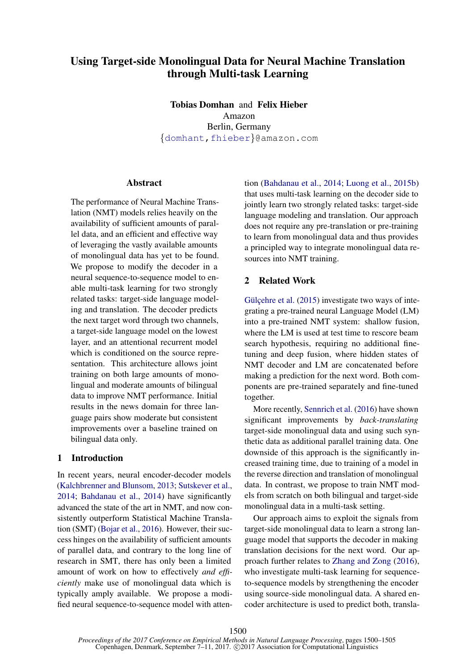# Using Target-side Monolingual Data for Neural Machine Translation through Multi-task Learning

Tobias Domhan and Felix Hieber Amazon Berlin, Germany {domhant,fhieber}@amazon.com

## **Abstract**

The performance of Neural Machine Translation (NMT) models relies heavily on the availability of sufficient amounts of parallel data, and an efficient and effective way of leveraging the vastly available amounts of monolingual data has yet to be found. We propose to modify the decoder in a neural sequence-to-sequence model to enable multi-task learning for two strongly related tasks: target-side language modeling and translation. The decoder predicts the next target word through two channels, a target-side language model on the lowest layer, and an attentional recurrent model which is conditioned on the source representation. This architecture allows joint training on both large amounts of monolingual and moderate amounts of bilingual data to improve NMT performance. Initial results in the news domain for three language pairs show moderate but consistent improvements over a baseline trained on bilingual data only.

# 1 Introduction

In recent years, neural encoder-decoder models (Kalchbrenner and Blunsom, 2013; Sutskever et al., 2014; Bahdanau et al., 2014) have significantly advanced the state of the art in NMT, and now consistently outperform Statistical Machine Translation (SMT) (Bojar et al., 2016). However, their success hinges on the availability of sufficient amounts of parallel data, and contrary to the long line of research in SMT, there has only been a limited amount of work on how to effectively *and efficiently* make use of monolingual data which is typically amply available. We propose a modified neural sequence-to-sequence model with atten-

tion (Bahdanau et al., 2014; Luong et al., 2015b) that uses multi-task learning on the decoder side to jointly learn two strongly related tasks: target-side language modeling and translation. Our approach does not require any pre-translation or pre-training to learn from monolingual data and thus provides a principled way to integrate monolingual data resources into NMT training.

# 2 Related Work

Gülçehre et al.  $(2015)$  investigate two ways of integrating a pre-trained neural Language Model (LM) into a pre-trained NMT system: shallow fusion, where the LM is used at test time to rescore beam search hypothesis, requiring no additional finetuning and deep fusion, where hidden states of NMT decoder and LM are concatenated before making a prediction for the next word. Both components are pre-trained separately and fine-tuned together.

More recently, Sennrich et al. (2016) have shown significant improvements by *back-translating* target-side monolingual data and using such synthetic data as additional parallel training data. One downside of this approach is the significantly increased training time, due to training of a model in the reverse direction and translation of monolingual data. In contrast, we propose to train NMT models from scratch on both bilingual and target-side monolingual data in a multi-task setting.

Our approach aims to exploit the signals from target-side monolingual data to learn a strong language model that supports the decoder in making translation decisions for the next word. Our approach further relates to Zhang and Zong (2016), who investigate multi-task learning for sequenceto-sequence models by strengthening the encoder using source-side monolingual data. A shared encoder architecture is used to predict both, transla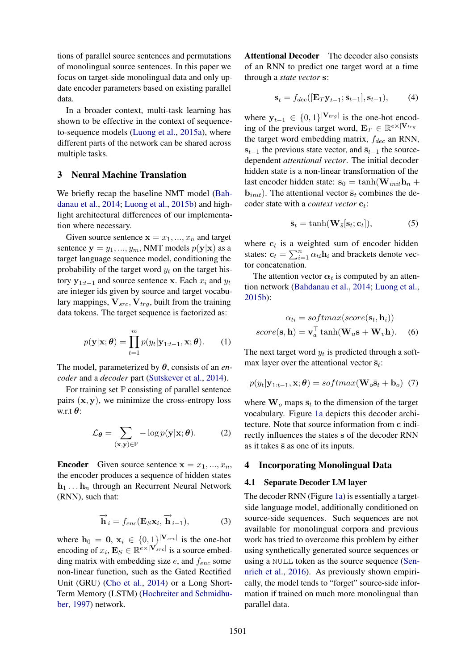tions of parallel source sentences and permutations of monolingual source sentences. In this paper we focus on target-side monolingual data and only update encoder parameters based on existing parallel data.

In a broader context, multi-task learning has shown to be effective in the context of sequenceto-sequence models (Luong et al., 2015a), where different parts of the network can be shared across multiple tasks.

# 3 Neural Machine Translation

We briefly recap the baseline NMT model (Bahdanau et al., 2014; Luong et al., 2015b) and highlight architectural differences of our implementation where necessary.

Given source sentence  $\mathbf{x} = x_1, ..., x_n$  and target sentence  $y = y_1, ..., y_m$ , NMT models  $p(y|x)$  as a target language sequence model, conditioning the probability of the target word  $y_t$  on the target history  $y_{1:t-1}$  and source sentence x. Each  $x_i$  and  $y_t$ are integer ids given by source and target vocabulary mappings,  $V_{src}$ ,  $V_{trq}$ , built from the training data tokens. The target sequence is factorized as:

$$
p(\mathbf{y}|\mathbf{x};\boldsymbol{\theta}) = \prod_{t=1}^{m} p(y_t|\mathbf{y}_{1:t-1}, \mathbf{x}; \boldsymbol{\theta}).
$$
 (1)

The model, parameterized by θ, consists of an *encoder* and a *decoder* part (Sutskever et al., 2014).

For training set  $\mathbb P$  consisting of parallel sentence pairs  $(x, y)$ , we minimize the cross-entropy loss w.r.t  $\theta$ :

$$
\mathcal{L}_{\theta} = \sum_{(\mathbf{x}, \mathbf{y}) \in \mathbb{P}} -\log p(\mathbf{y}|\mathbf{x}; \theta). \tag{2}
$$

**Encoder** Given source sentence  $x = x_1, ..., x_n$ , the encoder produces a sequence of hidden states  $h_1 \ldots h_n$  through an Recurrent Neural Network (RNN), such that:

$$
\overrightarrow{\mathbf{h}}_{i} = f_{enc}(\mathbf{E}_{S}\mathbf{x}_{i}, \overrightarrow{\mathbf{h}}_{i-1}), \qquad (3)
$$

where  $\mathbf{h}_0 = \mathbf{0}, \mathbf{x}_i \in \{0,1\}^{|\mathbf{V}_{src}|}$  is the one-hot encoding of  $x_i$ ,  $\mathbf{E}_S \in \mathbb{R}^{e \times |\mathbf{V}_{src}|}$  is a source embedding matrix with embedding size  $e$ , and  $f_{enc}$  some non-linear function, such as the Gated Rectified Unit (GRU) (Cho et al., 2014) or a Long Short-Term Memory (LSTM) (Hochreiter and Schmidhuber, 1997) network.

Attentional Decoder The decoder also consists of an RNN to predict one target word at a time through a *state vector* s:

$$
\mathbf{s}_t = f_{dec}([\mathbf{E}_T \mathbf{y}_{t-1}; \bar{\mathbf{s}}_{t-1}], \mathbf{s}_{t-1}), \quad (4)
$$

where  $y_{t-1} \in \{0,1\}^{|\mathbf{V}_{trg}|}$  is the one-hot encoding of the previous target word,  $\mathbf{E}_T \in \mathbb{R}^{e \times |\mathbf{V}_{trg}|}$ the target word embedding matrix,  $f_{dec}$  an RNN,  $s_{t-1}$  the previous state vector, and  $\bar{s}_{t-1}$  the sourcedependent *attentional vector*. The initial decoder hidden state is a non-linear transformation of the last encoder hidden state:  $s_0 = \tanh(\mathbf{W}_{init}\mathbf{h}_n + \mathbf{W}_{init}\mathbf{h}_n)$ **. The attentional vector**  $\bar{\mathbf{s}}_t$  **combines the de**coder state with a *context vector*  $\mathbf{c}_t$ :

$$
\bar{\mathbf{s}}_t = \tanh(\mathbf{W}_{\bar{s}}[\mathbf{s}_t; \mathbf{c}_t]),\tag{5}
$$

where  $c_t$  is a weighted sum of encoder hidden states:  $\mathbf{c}_t = \sum_{i=1}^n \alpha_{ti} \mathbf{h}_i$  and brackets denote vector concatenation.

The attention vector  $\alpha_t$  is computed by an attention network (Bahdanau et al., 2014; Luong et al., 2015b):

$$
\alpha_{ti} = softmax(score(\mathbf{s}_t, \mathbf{h}_i))
$$

$$
score(\mathbf{s}, \mathbf{h}) = \mathbf{v}_a^{\top} \tanh(\mathbf{W}_u \mathbf{s} + \mathbf{W}_v \mathbf{h}).
$$
 (6)

The next target word  $y_t$  is predicted through a softmax layer over the attentional vector  $\bar{s}_t$ :

$$
p(y_t|\mathbf{y}_{1:t-1}, \mathbf{x}; \boldsymbol{\theta}) = softmax(\mathbf{W}_o \bar{\mathbf{s}}_t + \mathbf{b}_o) \tag{7}
$$

where  $\mathbf{W}_o$  maps  $\bar{\mathbf{s}}_t$  to the dimension of the target vocabulary. Figure 1a depicts this decoder architecture. Note that source information from c indirectly influences the states s of the decoder RNN as it takes  $\bar{s}$  as one of its inputs.

# 4 Incorporating Monolingual Data

#### 4.1 Separate Decoder LM layer

The decoder RNN (Figure 1a) is essentially a targetside language model, additionally conditioned on source-side sequences. Such sequences are not available for monolingual corpora and previous work has tried to overcome this problem by either using synthetically generated source sequences or using a NULL token as the source sequence (Sennrich et al., 2016). As previously shown empirically, the model tends to "forget" source-side information if trained on much more monolingual than parallel data.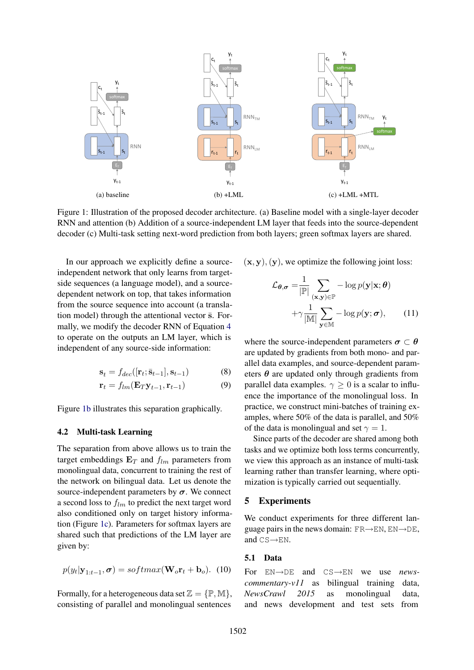

Figure 1: Illustration of the proposed decoder architecture. (a) Baseline model with a single-layer decoder RNN and attention (b) Addition of a source-independent LM layer that feeds into the source-dependent decoder (c) Multi-task setting next-word prediction from both layers; green softmax layers are shared.

In our approach we explicitly define a sourceindependent network that only learns from targetside sequences (a language model), and a sourcedependent network on top, that takes information from the source sequence into account (a translation model) through the attentional vector  $\bar{s}$ . Formally, we modify the decoder RNN of Equation 4 to operate on the outputs an LM layer, which is independent of any source-side information:

$$
\mathbf{s}_t = f_{dec}([\mathbf{r}_t; \bar{\mathbf{s}}_{t-1}], \mathbf{s}_{t-1}) \tag{8}
$$

$$
\mathbf{r}_t = f_{lm}(\mathbf{E}_T \mathbf{y}_{t-1}, \mathbf{r}_{t-1}) \tag{9}
$$

Figure 1b illustrates this separation graphically.

### 4.2 Multi-task Learning

The separation from above allows us to train the target embeddings  $E_T$  and  $f_{lm}$  parameters from monolingual data, concurrent to training the rest of the network on bilingual data. Let us denote the source-independent parameters by  $\sigma$ . We connect a second loss to  $f_{lm}$  to predict the next target word also conditioned only on target history information (Figure 1c). Parameters for softmax layers are shared such that predictions of the LM layer are given by:

$$
p(y_t|\mathbf{y}_{1:t-1}, \sigma) = softmax(\mathbf{W}_o \mathbf{r}_t + \mathbf{b}_o).
$$
 (10)

Formally, for a heterogeneous data set  $\mathbb{Z} = \{ \mathbb{P}, \mathbb{M} \},$ consisting of parallel and monolingual sentences  $(x, y)$ ,  $(y)$ , we optimize the following joint loss:

$$
\mathcal{L}_{\theta,\sigma} = \frac{1}{|\mathbb{P}|} \sum_{(\mathbf{x},\mathbf{y}) \in \mathbb{P}} -\log p(\mathbf{y}|\mathbf{x};\theta)
$$

$$
+ \gamma \frac{1}{|\mathbb{M}|} \sum_{\mathbf{y} \in \mathbb{M}} -\log p(\mathbf{y};\sigma), \qquad (11)
$$

where the source-independent parameters  $\sigma \subset \theta$ are updated by gradients from both mono- and parallel data examples, and source-dependent parameters  $\theta$  are updated only through gradients from parallel data examples.  $\gamma \geq 0$  is a scalar to influence the importance of the monolingual loss. In practice, we construct mini-batches of training examples, where 50% of the data is parallel, and 50% of the data is monolingual and set  $\gamma = 1$ .

Since parts of the decoder are shared among both tasks and we optimize both loss terms concurrently, we view this approach as an instance of multi-task learning rather than transfer learning, where optimization is typically carried out sequentially.

#### 5 Experiments

We conduct experiments for three different language pairs in the news domain:  $FR \rightarrow EN$ ,  $EN \rightarrow DE$ , and  $CS \rightarrow EN$ .

#### 5.1 Data

For EN→DE and CS→EN we use *newscommentary-v11* as bilingual training data, *NewsCrawl 2015* as monolingual data, and news development and test sets from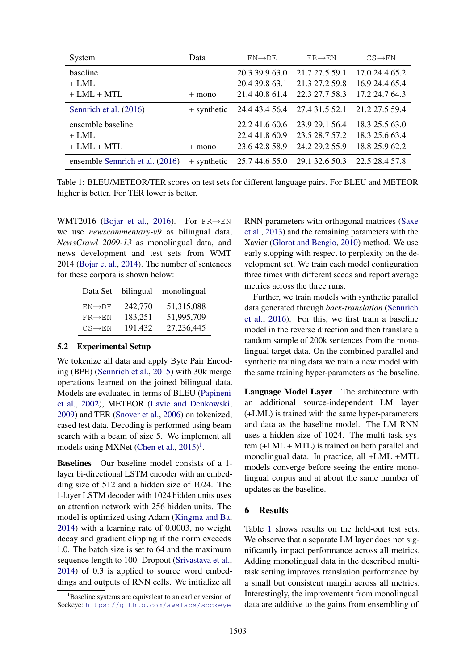| System                          | Data        | $EN \rightarrow DE$ | $FR \rightarrow EN$                                      | $CS \rightarrow EN$ |
|---------------------------------|-------------|---------------------|----------------------------------------------------------|---------------------|
| baseline                        |             | 20.3 39.9 63.0      | 21.7 27.5 59.1                                           | 17.0 24.4 65.2      |
| $+ LML$                         |             | 20.4 39.8 63.1      | 21.3 27.2 59.8                                           | 16.9 24.4 65.4      |
| $+ LML + MTL$                   | $+$ mono    | 21.4 40.8 61.4      | 22.3 27.7 58.3                                           | 17.2 24.7 64.3      |
| Sennrich et al. (2016)          |             |                     | + synthetic 24.4 43.4 56.4 27.4 31.5 52.1 21.2 27.5 59.4 |                     |
| ensemble baseline               |             | 22.241.660.6        | 23.9 29.1 56.4                                           | 18.3 25.5 63.0      |
| $+$ LML.                        |             | 22.4 41.8 60.9      | 23.5 28.7 57.2                                           | 18.3 25.6 63.4      |
| $+ LML + MTL$                   | $+$ mono    | 23.6 42.8 58.9      | 24.2 29.2 55.9                                           | 18.8 25.9 62.2      |
| ensemble Sennrich et al. (2016) | + synthetic | 25.7 44.6 55.0      | 29.1 32.6 50.3                                           | 22.5 28.4 57.8      |

Table 1: BLEU/METEOR/TER scores on test sets for different language pairs. For BLEU and METEOR higher is better. For TER lower is better.

WMT2016 (Bojar et al., 2016). For  $FR \rightarrow EN$ we use *newscommentary-v9* as bilingual data, *NewsCrawl 2009-13* as monolingual data, and news development and test sets from WMT 2014 (Bojar et al., 2014). The number of sentences for these corpora is shown below:

| Data Set             | bilingual | monolingual |
|----------------------|-----------|-------------|
| $EN \rightarrow DE$  | 242,770   | 51,315,088  |
| $FR \rightarrow F.N$ | 183,251   | 51,995,709  |
| $CS \rightarrow EN$  | 191,432   | 27,236,445  |

## 5.2 Experimental Setup

We tokenize all data and apply Byte Pair Encoding (BPE) (Sennrich et al., 2015) with 30k merge operations learned on the joined bilingual data. Models are evaluated in terms of BLEU (Papineni et al., 2002), METEOR (Lavie and Denkowski, 2009) and TER (Snover et al., 2006) on tokenized, cased test data. Decoding is performed using beam search with a beam of size 5. We implement all models using MXNet (Chen et al.,  $2015$ )<sup>1</sup>.

Baselines Our baseline model consists of a 1 layer bi-directional LSTM encoder with an embedding size of 512 and a hidden size of 1024. The 1-layer LSTM decoder with 1024 hidden units uses an attention network with 256 hidden units. The model is optimized using Adam (Kingma and Ba, 2014) with a learning rate of 0.0003, no weight decay and gradient clipping if the norm exceeds 1.0. The batch size is set to 64 and the maximum sequence length to 100. Dropout (Srivastava et al., 2014) of 0.3 is applied to source word embeddings and outputs of RNN cells. We initialize all

RNN parameters with orthogonal matrices (Saxe et al., 2013) and the remaining parameters with the Xavier (Glorot and Bengio, 2010) method. We use early stopping with respect to perplexity on the development set. We train each model configuration three times with different seeds and report average metrics across the three runs.

Further, we train models with synthetic parallel data generated through *back-translation* (Sennrich et al., 2016). For this, we first train a baseline model in the reverse direction and then translate a random sample of 200k sentences from the monolingual target data. On the combined parallel and synthetic training data we train a new model with the same training hyper-parameters as the baseline.

Language Model Layer The architecture with an additional source-independent LM layer (+LML) is trained with the same hyper-parameters and data as the baseline model. The LM RNN uses a hidden size of 1024. The multi-task system (+LML + MTL) is trained on both parallel and monolingual data. In practice, all +LML +MTL models converge before seeing the entire monolingual corpus and at about the same number of updates as the baseline.

### 6 Results

Table 1 shows results on the held-out test sets. We observe that a separate LM layer does not significantly impact performance across all metrics. Adding monolingual data in the described multitask setting improves translation performance by a small but consistent margin across all metrics. Interestingly, the improvements from monolingual data are additive to the gains from ensembling of

<sup>&</sup>lt;sup>1</sup>Baseline systems are equivalent to an earlier version of Sockeye: https://github.com/awslabs/sockeye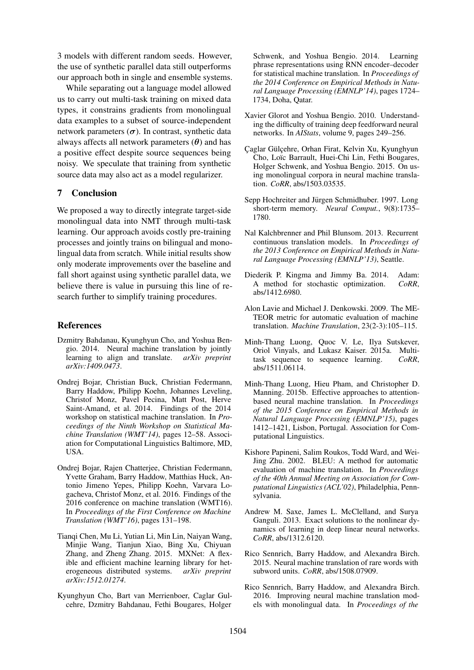3 models with different random seeds. However, the use of synthetic parallel data still outperforms our approach both in single and ensemble systems.

While separating out a language model allowed us to carry out multi-task training on mixed data types, it constrains gradients from monolingual data examples to a subset of source-independent network parameters  $(\sigma)$ . In contrast, synthetic data always affects all network parameters  $(\theta)$  and has a positive effect despite source sequences being noisy. We speculate that training from synthetic source data may also act as a model regularizer.

# 7 Conclusion

We proposed a way to directly integrate target-side monolingual data into NMT through multi-task learning. Our approach avoids costly pre-training processes and jointly trains on bilingual and monolingual data from scratch. While initial results show only moderate improvements over the baseline and fall short against using synthetic parallel data, we believe there is value in pursuing this line of research further to simplify training procedures.

# References

- Dzmitry Bahdanau, Kyunghyun Cho, and Yoshua Bengio. 2014. Neural machine translation by jointly learning to align and translate. *arXiv preprint arXiv:1409.0473*.
- Ondrej Bojar, Christian Buck, Christian Federmann, Barry Haddow, Philipp Koehn, Johannes Leveling, Christof Monz, Pavel Pecina, Matt Post, Herve Saint-Amand, et al. 2014. Findings of the 2014 workshop on statistical machine translation. In *Proceedings of the Ninth Workshop on Statistical Machine Translation (WMT'14)*, pages 12–58. Association for Computational Linguistics Baltimore, MD, USA.
- Ondrej Bojar, Rajen Chatterjee, Christian Federmann, Yvette Graham, Barry Haddow, Matthias Huck, Antonio Jimeno Yepes, Philipp Koehn, Varvara Logacheva, Christof Monz, et al. 2016. Findings of the 2016 conference on machine translation (WMT16). In *Proceedings of the First Conference on Machine Translation (WMT'16)*, pages 131–198.
- Tianqi Chen, Mu Li, Yutian Li, Min Lin, Naiyan Wang, Minjie Wang, Tianjun Xiao, Bing Xu, Chiyuan Zhang, and Zheng Zhang. 2015. MXNet: A flexible and efficient machine learning library for heterogeneous distributed systems. *arXiv preprint arXiv:1512.01274*.
- Kyunghyun Cho, Bart van Merrienboer, Caglar Gulcehre, Dzmitry Bahdanau, Fethi Bougares, Holger

Schwenk, and Yoshua Bengio. 2014. Learning phrase representations using RNN encoder–decoder for statistical machine translation. In *Proceedings of the 2014 Conference on Empirical Methods in Natural Language Processing (EMNLP'14)*, pages 1724– 1734, Doha, Qatar.

- Xavier Glorot and Yoshua Bengio. 2010. Understanding the difficulty of training deep feedforward neural networks. In *AIStats*, volume 9, pages 249–256.
- Çaglar Gülçehre, Orhan Firat, Kelvin Xu, Kyunghyun Cho, Loïc Barrault, Huei-Chi Lin, Fethi Bougares, Holger Schwenk, and Yoshua Bengio. 2015. On using monolingual corpora in neural machine translation. *CoRR*, abs/1503.03535.
- Sepp Hochreiter and Jürgen Schmidhuber. 1997. Long short-term memory. *Neural Comput.*, 9(8):1735– 1780.
- Nal Kalchbrenner and Phil Blunsom. 2013. Recurrent continuous translation models. In *Proceedings of the 2013 Conference on Empirical Methods in Natural Language Processing (EMNLP'13)*, Seattle.
- Diederik P. Kingma and Jimmy Ba. 2014. Adam: A method for stochastic optimization. *CoRR*, abs/1412.6980.
- Alon Lavie and Michael J. Denkowski. 2009. The ME-TEOR metric for automatic evaluation of machine translation. *Machine Translation*, 23(2-3):105–115.
- Minh-Thang Luong, Quoc V. Le, Ilya Sutskever, Oriol Vinyals, and Lukasz Kaiser. 2015a. Multitask sequence to sequence learning. *CoRR*, abs/1511.06114.
- Minh-Thang Luong, Hieu Pham, and Christopher D. Manning. 2015b. Effective approaches to attentionbased neural machine translation. In *Proceedings of the 2015 Conference on Empirical Methods in Natural Language Processing (EMNLP'15)*, pages 1412–1421, Lisbon, Portugal. Association for Computational Linguistics.
- Kishore Papineni, Salim Roukos, Todd Ward, and Wei-Jing Zhu. 2002. BLEU: A method for automatic evaluation of machine translation. In *Proceedings of the 40th Annual Meeting on Association for Computational Linguistics (ACL'02)*, Philadelphia, Pennsylvania.
- Andrew M. Saxe, James L. McClelland, and Surya Ganguli. 2013. Exact solutions to the nonlinear dynamics of learning in deep linear neural networks. *CoRR*, abs/1312.6120.
- Rico Sennrich, Barry Haddow, and Alexandra Birch. 2015. Neural machine translation of rare words with subword units. *CoRR*, abs/1508.07909.
- Rico Sennrich, Barry Haddow, and Alexandra Birch. 2016. Improving neural machine translation models with monolingual data. In *Proceedings of the*